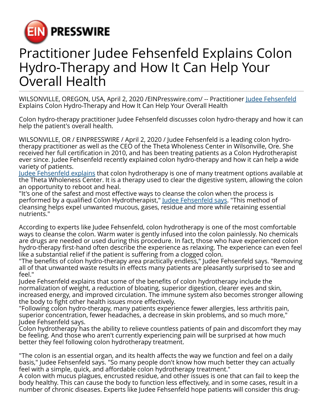

## Practitioner Judee Fehsenfeld Explains Colon Hydro-Therapy and How It Can Help Your Overall Health

WILSONVILLE, OREGON, USA, April 2, 2020 /[EINPresswire.com/](http://www.einpresswire.com) -- Practitioner [Judee Fehsenfeld](https://finance.yahoo.com/news/judee-fehsenfelds-alternative-therapies-help-160000793.html) Explains Colon Hydro-Therapy and How It Can Help Your Overall Health

Colon hydro-therapy practitioner Judee Fehsenfeld discusses colon hydro-therapy and how it can help the patient's overall health.

WILSONVILLE, OR / EINPRESSWIRE / April 2, 2020 / Judee Fehsenfeld is a leading colon hydrotherapy practitioner as well as the CEO of the Theta Wholeness Center in Wilsonville, Ore. She received her full certification in 2010, and has been treating patients as a Colon Hydrotherapist ever since. Judee Fehsenfeld recently explained colon hydro-therapy and how it can help a wide variety of patients.

[Judee Fehsenfeld explains](https://www.startus.cc/people/judee-louise_fehsenfeld) that colon hydrotherapy is one of many treatment options available at the Theta Wholeness Center. It is a therapy used to clear the digestive system, allowing the colon an opportunity to reboot and heal.

"It's one of the safest and most effective ways to cleanse the colon when the process is performed by a qualified Colon Hydrotherapist," [Judee Fehsenfeld says.](https://muckrack.com/judee-louise-fehsenfeld) "This method of cleansing helps expel unwanted mucous, gases, residue and more while retaining essential nutrients."

According to experts like Judee Fehsenfeld, colon hydrotherapy is one of the most comfortable ways to cleanse the colon. Warm water is gently infused into the colon painlessly. No chemicals are drugs are needed or used during this procedure. In fact, those who have experienced colon hydro-therapy first-hand often describe the experience as relaxing. The experience can even feel like a substantial relief if the patient is suffering from a clogged colon.

"The benefits of colon hydro-therapy area practically endless," Judee Fehsenfeld says. "Removing all of that unwanted waste results in effects many patients are pleasantly surprised to see and feel."

Judee Fehsenfeld explains that some of the benefits of colon hydrotherapy include the normalization of weight, a reduction of bloating, superior digestion, clearer eyes and skin, increased energy, and improved circulation. The immune system also becomes stronger allowing the body to fight other health issues more effectively.

"Following colon hydro-therapy, many patients experience fewer allergies, less arthritis pain, superior concentration, fewer headaches, a decrease in skin problems, and so much more," Judee Fehsenfeld says.

Colon hydrotherapy has the ability to relieve countless patients of pain and discomfort they may be feeling. And those who aren't currently experiencing pain will be surprised at how much better they feel following colon hydrotherapy treatment.

"The colon is an essential organ, and its health affects the way we function and feel on a daily basis," Judee Fehsenfeld says. "So many people don't know how much better they can actually feel with a simple, quick, and affordable colon hydrotherapy treatment."

A colon with mucus plagues, encrusted residue, and other issues is one that can fail to keep the body healthy. This can cause the body to function less effectively, and in some cases, result in a number of chronic diseases. Experts like Judee Fehsenfeld hope patients will consider this drug